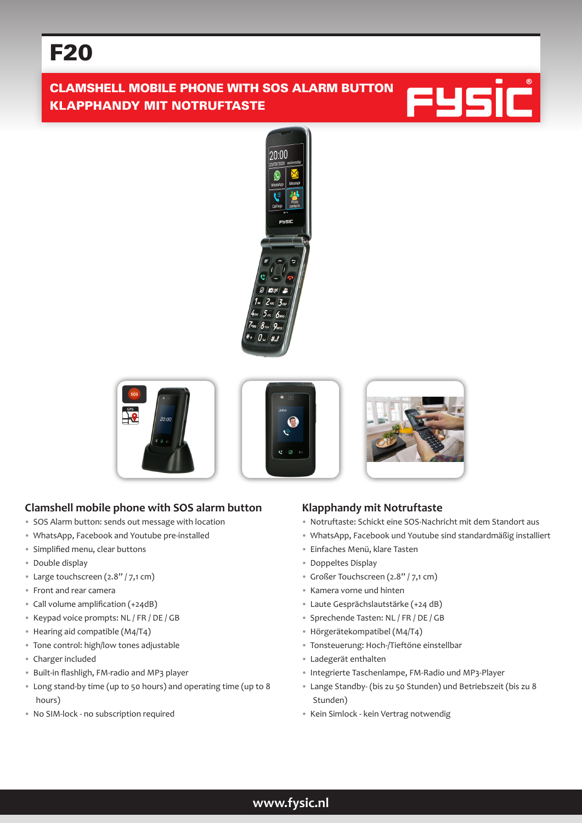# F20

# CLAMSHELL MOBILE PHONE WITH SOS ALARM BUTTON KLAPPHANDY MIT NOTRUFTASTE











# **Clamshell mobile phone with SOS alarm button**

- SOS Alarm button: sends out message with location
- WhatsApp, Facebook and Youtube pre-installed
- Simplified menu, clear buttons
- Double display
- Large touchscreen (2.8" / 7,1 cm)
- Front and rear camera
- Call volume amplification (+24dB)
- Keypad voice prompts: NL / FR / DE / GB
- Hearing aid compatible (M4/T4)
- Tone control: high/low tones adjustable
- Charger included
- Built-in flashligh, FM-radio and MP3 player
- Long stand-by time (up to 50 hours) and operating time (up to 8 hours)
- No SIM-lock no subscription required

### **Klapphandy mit Notruftaste**

- Notruftaste: Schickt eine SOS-Nachricht mit dem Standort aus
- WhatsApp, Facebook und Youtube sind standardmäßig installiert
- Einfaches Menü, klare Tasten
- Doppeltes Display
- Großer Touchscreen (2.8" / 7,1 cm)
- Kamera vorne und hinten
- Laute Gesprächslautstärke (+24 dB)
- Sprechende Tasten: NL / FR / DE / GB
- Hörgerätekompatibel (M4/T4)
- Tonsteuerung: Hoch-/Tieftöne einstellbar
- Ladegerät enthalten
- Integrierte Taschenlampe, FM-Radio und MP3-Player
- Lange Standby- (bis zu 50 Stunden) und Betriebszeit (bis zu 8 Stunden)
- Kein Simlock kein Vertrag notwendig